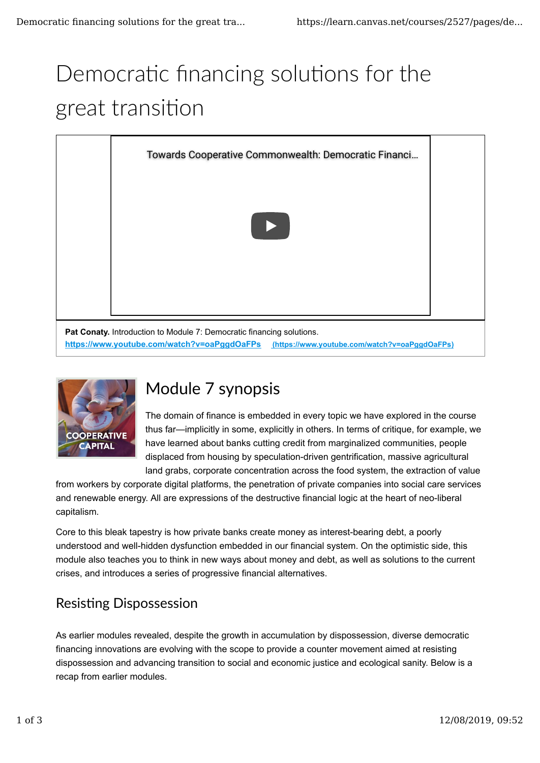# Democratic financing solutions for the great transition





# Module 7 synopsis

The domain of finance is embedded in every topic we have explored in the course thus far—implicitly in some, explicitly in others. In terms of critique, for example, we have learned about banks cutting credit from marginalized communities, people displaced from housing by speculation-driven gentrification, massive agricultural land grabs, corporate concentration across the food system, the extraction of value

from workers by corporate digital platforms, the penetration of private companies into social care services and renewable energy. All are expressions of the destructive financial logic at the heart of neo-liberal capitalism.

Core to this bleak tapestry is how private banks create money as interest-bearing debt, a poorly understood and well-hidden dysfunction embedded in our financial system. On the optimistic side, this module also teaches you to think in new ways about money and debt, as well as solutions to the current crises, and introduces a series of progressive financial alternatives.

## **Resisting Dispossession**

As earlier modules revealed, despite the growth in accumulation by dispossession, diverse democratic financing innovations are evolving with the scope to provide a counter movement aimed at resisting dispossession and advancing transition to social and economic justice and ecological sanity. Below is a recap from earlier modules.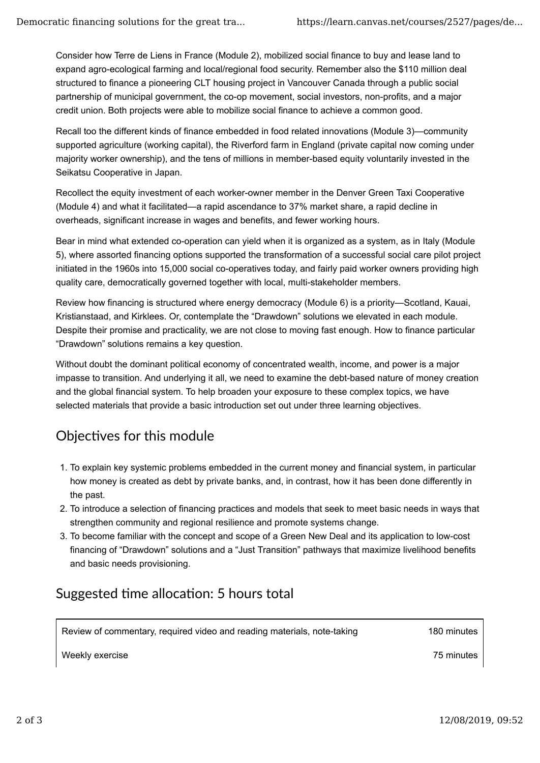Consider how Terre de Liens in France (Module 2), mobilized social finance to buy and lease land to expand agro-ecological farming and local/regional food security. Remember also the \$110 million deal structured to finance a pioneering CLT housing project in Vancouver Canada through a public social partnership of municipal government, the co-op movement, social investors, non-profits, and a major credit union. Both projects were able to mobilize social finance to achieve a common good.

Recall too the different kinds of finance embedded in food related innovations (Module 3)—community supported agriculture (working capital), the Riverford farm in England (private capital now coming under majority worker ownership), and the tens of millions in member-based equity voluntarily invested in the Seikatsu Cooperative in Japan.

Recollect the equity investment of each worker-owner member in the Denver Green Taxi Cooperative (Module 4) and what it facilitated—a rapid ascendance to 37% market share, a rapid decline in overheads, significant increase in wages and benefits, and fewer working hours.

Bear in mind what extended co-operation can yield when it is organized as a system, as in Italy (Module 5), where assorted financing options supported the transformation of a successful social care pilot project initiated in the 1960s into 15,000 social co-operatives today, and fairly paid worker owners providing high quality care, democratically governed together with local, multi-stakeholder members.

Review how financing is structured where energy democracy (Module 6) is a priority—Scotland, Kauai, Kristianstaad, and Kirklees. Or, contemplate the "Drawdown" solutions we elevated in each module. Despite their promise and practicality, we are not close to moving fast enough. How to finance particular "Drawdown" solutions remains a key question.

Without doubt the dominant political economy of concentrated wealth, income, and power is a major impasse to transition. And underlying it all, we need to examine the debt-based nature of money creation and the global financial system. To help broaden your exposure to these complex topics, we have selected materials that provide a basic introduction set out under three learning objectives.

### Objectives for this module

- 1. To explain key systemic problems embedded in the current money and financial system, in particular how money is created as debt by private banks, and, in contrast, how it has been done differently in the past.
- 2. To introduce a selection of financing practices and models that seek to meet basic needs in ways that strengthen community and regional resilience and promote systems change.
- 3. To become familiar with the concept and scope of a Green New Deal and its application to low-cost financing of "Drawdown" solutions and a "Just Transition" pathways that maximize livelihood benefits and basic needs provisioning.

### Suggested time allocation: 5 hours total

Review of commentary, required video and reading materials, note-taking 180 minutes

Weekly exercise 75 minutes